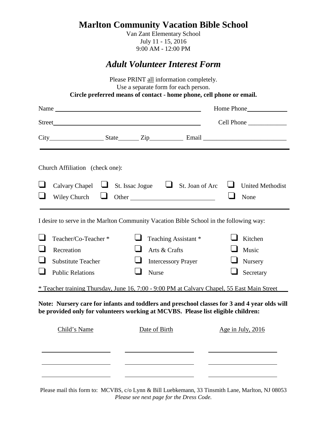# **Marlton Community Vacation Bible School**

Van Zant Elementary School July 11 - 15, 2016 9:00 AM - 12:00 PM

## *Adult Volunteer Interest Form*

|  |                                                                                             |  |               | Use a separate form for each person.<br>Circle preferred means of contact - home phone, cell phone or email. | Please PRINT all information completely. |                                                                                              |  |
|--|---------------------------------------------------------------------------------------------|--|---------------|--------------------------------------------------------------------------------------------------------------|------------------------------------------|----------------------------------------------------------------------------------------------|--|
|  |                                                                                             |  |               |                                                                                                              |                                          |                                                                                              |  |
|  |                                                                                             |  |               |                                                                                                              | Cell Phone                               |                                                                                              |  |
|  |                                                                                             |  |               |                                                                                                              |                                          |                                                                                              |  |
|  | Church Affiliation (check one):                                                             |  |               |                                                                                                              |                                          |                                                                                              |  |
|  | Calvary Chapel $\Box$<br>Wiley Church                                                       |  |               | St. Issac Jogue $\Box$ St. Joan of Arc<br>Other                                                              | ⊔                                        | <b>United Methodist</b><br>None                                                              |  |
|  | I desire to serve in the Marlton Community Vacation Bible School in the following way:      |  |               |                                                                                                              |                                          |                                                                                              |  |
|  | Teacher/Co-Teacher *                                                                        |  |               | Teaching Assistant*                                                                                          |                                          | Kitchen                                                                                      |  |
|  | Recreation                                                                                  |  | Arts & Crafts |                                                                                                              |                                          | Music                                                                                        |  |
|  | <b>Substitute Teacher</b>                                                                   |  |               | <b>Intercessory Prayer</b>                                                                                   |                                          | Nursery                                                                                      |  |
|  | <b>Public Relations</b>                                                                     |  | Nurse         |                                                                                                              |                                          | Secretary                                                                                    |  |
|  | * Teacher training Thursday, June 16, 7:00 - 9:00 PM at Calvary Chapel, 55 East Main Street |  |               |                                                                                                              |                                          |                                                                                              |  |
|  | be provided only for volunteers working at MCVBS. Please list eligible children:            |  |               |                                                                                                              |                                          | Note: Nursery care for infants and toddlers and preschool classes for 3 and 4 year olds will |  |
|  | Child's Name                                                                                |  | Date of Birth |                                                                                                              |                                          | Age in July, 2016                                                                            |  |
|  |                                                                                             |  |               |                                                                                                              |                                          |                                                                                              |  |

Please mail this form to: MCVBS, c/o Lynn & Bill Luebkemann, 33 Tinsmith Lane, Marlton, NJ 08053 *Please see next page for the Dress Code.*